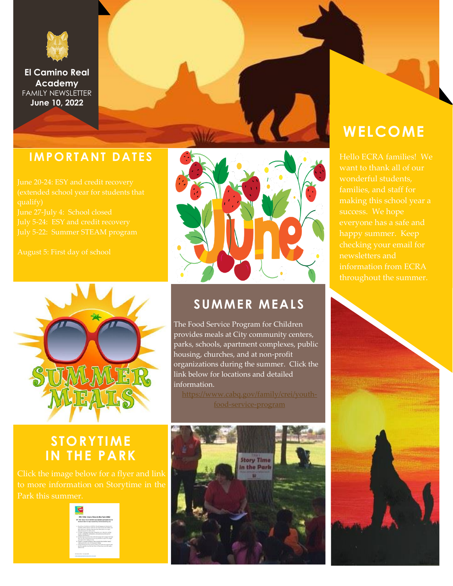

**El Camino Real Academy** FAMILY NEWSLETTER **June 10, 2022**

### **IMPORTANT DATES**



### **STORYTIME IN THE PARK**

Click the image below for a flyer and link Park this summer.





### **SUMMER MEALS**

The Food Service Program for Children provides meals at City community centers, parks, schools, apartment complexes, public housing, churches, and at non-profit organizations during the summer. Click the link below for locations and detailed information.

[food-service-program](https://www.cabq.gov/family/crei/youth-food-service-program)



### **WELCOME**

Hello ECRA families! We wonderful students, families, and staff for making this school year a checking your email for newsletters and information from ECRA throughout the summer.

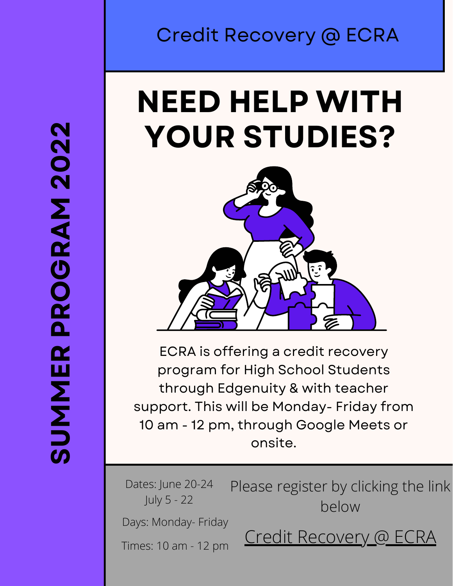# Credit Recovery @ ECRA

# **NEED HELP WITH YOUR STUDIES?**



ECRA is offering a credit recovery program for High School Students through Edgenuity & with teacher support. This will be Monday- Friday from 10 am - 12 pm, through Google Meets or onsite.

Days: Monday- Friday Dates: lune 20-24 July 5 - 22 Times: 10 am - 12 pm Please register by clicking the link below [Credit Recovery @ ECRA](https://forms.gle/H8qk5UNt2U2QAoPU9)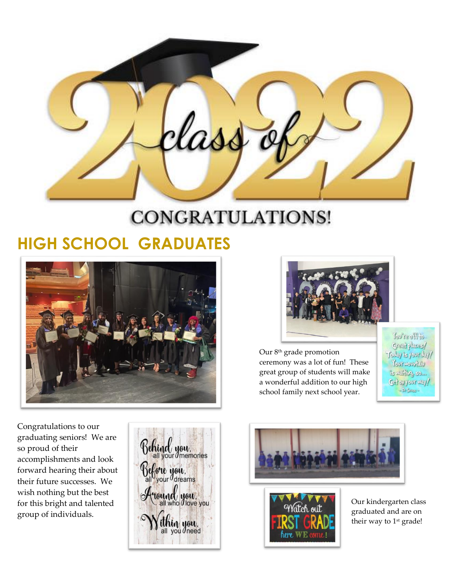las

# CONGRATULATIONS!

## **HIGH SCHOOL GRADUATES**



Congratulations to our graduating seniors! We are so proud of their accomplishments and look forward hearing their about their future successes. We wish nothing but the best for this bright and talented group of individuals.





Our 8th grade promotion ceremony was a lot of fun! These great group of students will make a wonderful addition to our high school family next school year.

of Host vol Great places/ Today is your day! Your mourtaily is vating so ... Get on your way!  $\sim$  Br Senages





Our kindergarten class graduated and are on their way to 1<sup>st</sup> grade!